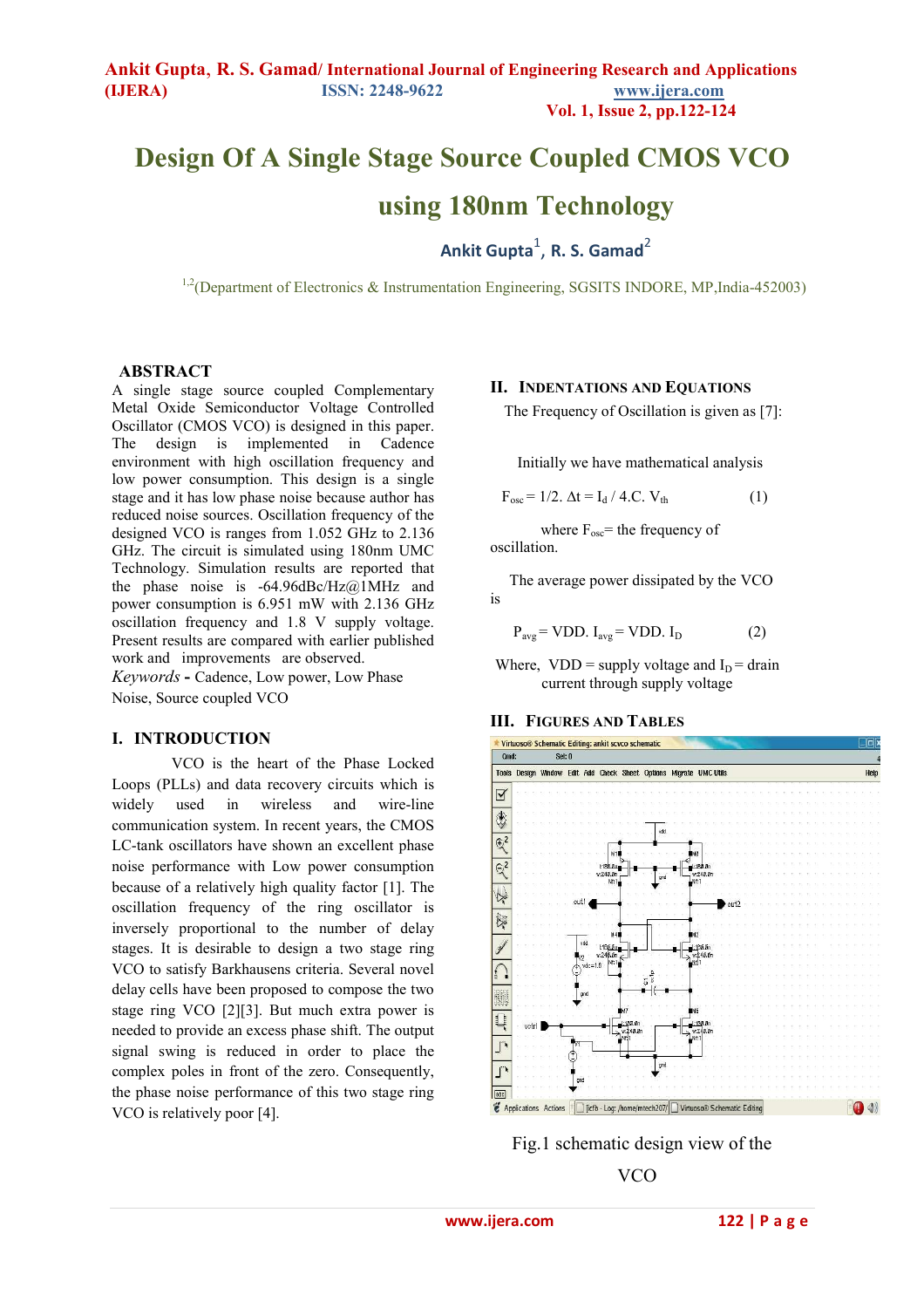# **Design Of A Single Stage Source Coupled CMOS VCO using 180nm Technology**

**Pankit Gupta** $^{1}$ **, R. S. Gamad**<sup>2</sup>

 $1,2$ (Department of Electronics & Instrumentation Engineering, SGSITS INDORE, MP, India-452003)

#### **ABSTRACT**

A single stage source coupled Complementary Metal Oxide Semiconductor Voltage Controlled Oscillator (CMOS VCO) is designed in this paper. The design is implemented in Cadence environment with high oscillation frequency and low power consumption. This design is a single stage and it has low phase noise because author has reduced noise sources. Oscillation frequency of the designed VCO is ranges from 1.052 GHz to 2.136 GHz. The circuit is simulated using 180nm UMC Technology. Simulation results are reported that the phase noise is  $-64.96$ dBc/Hz $@1$ MHz and power consumption is 6.951 mW with 2.136 GHz oscillation frequency and 1.8 V supply voltage. Present results are compared with earlier published work and improvements are observed. *Keywords* **-** Cadence, Low power, Low Phase

Noise, Source coupled VCO

#### **I. INTRODUCTION**

 VCO is the heart of the Phase Locked Loops (PLLs) and data recovery circuits which is widely used in wireless and wire-line communication system. In recent years, the CMOS LC-tank oscillators have shown an excellent phase noise performance with Low power consumption because of a relatively high quality factor [1]. The oscillation frequency of the ring oscillator is inversely proportional to the number of delay stages. It is desirable to design a two stage ring VCO to satisfy Barkhausens criteria. Several novel delay cells have been proposed to compose the two stage ring VCO [2][3]. But much extra power is needed to provide an excess phase shift. The output signal swing is reduced in order to place the complex poles in front of the zero. Consequently, the phase noise performance of this two stage ring VCO is relatively poor [4].

#### **II. INDENTATIONS AND EQUATIONS**

The Frequency of Oscillation is given as [7]:

Initially we have mathematical analysis

$$
F_{osc} = 1/2. \ \Delta t = I_d / 4.C. \ V_{th}
$$
 (1)

where  $F_{osc}$  = the frequency of oscillation.

 The average power dissipated by the VCO is

 $P_{\text{avg}} = \text{VDD}$ .  $I_{\text{avg}} = \text{VDD}$ .  $I_{\text{D}}$  (2)

Where,  $VDD =$  supply voltage and  $I_D =$  drain current through supply voltage

#### **III. FIGURES AND TABLES**





VCO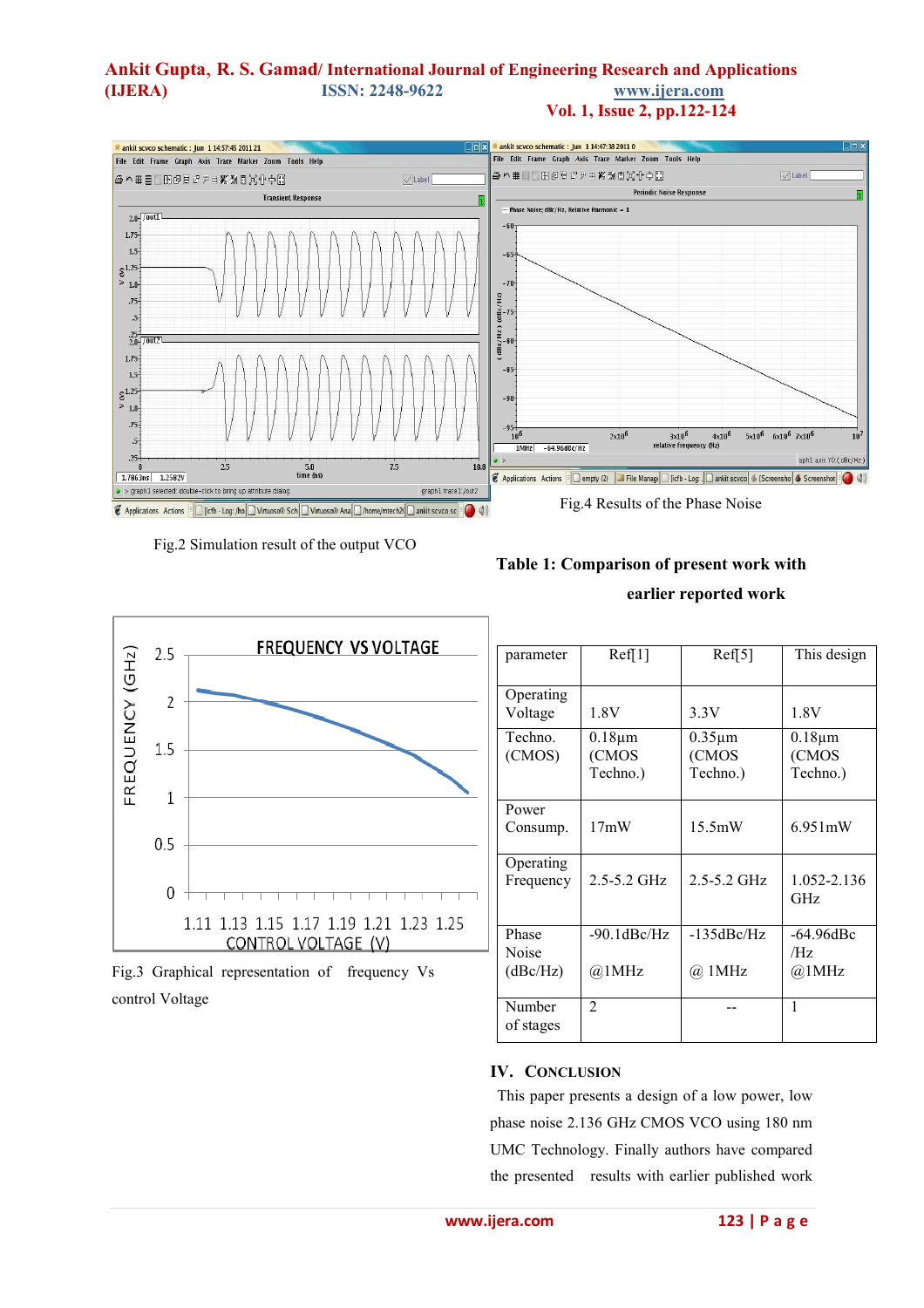### **Ankit Gupta**, **R. S. Gamad/ International Journal of Engineering Research and Applications (IJERA) ISSN: 2248-9622 www.ijera.com Vol. 1, Issue 2, pp.122-124**



Fig.2 Simulation result of the output VCO



 **earlier reported work** 



Fig.3 Graphical representation of frequency Vs control Voltage

| Ref[1]            |                  |                       |
|-------------------|------------------|-----------------------|
|                   | Ref[5]           | This design           |
|                   |                  |                       |
| 1.8V              | 3.3V             | 1.8V                  |
| $0.18 \mu m$      | $0.35 \mu m$     | $0.18 \mu m$          |
| (CMOS             | (CMOS            | (CMOS                 |
| Techno.)          | Techno.)         | Techno.)              |
| 17mW              | 15.5mW           | $6.951 \,\mathrm{mW}$ |
| $2.5 - 5.2$ GHz   | $2.5 - 5.2$ GHz  | 1.052-2.136<br>GHz    |
| $-90.1$ d $Be/Hz$ | $-135$ d $Be/Hz$ | -64.96dBc             |
|                   |                  | /Hz                   |
| @1MHz             | @ 1MHz           | @1MHz                 |
| $\overline{2}$    |                  | 1                     |
|                   |                  |                       |
|                   |                  |                       |

## **IV. CONCLUSION**

This paper presents a design of a low power, low phase noise 2.136 GHz CMOS VCO using 180 nm UMC Technology. Finally authors have compared the presented results with earlier published work